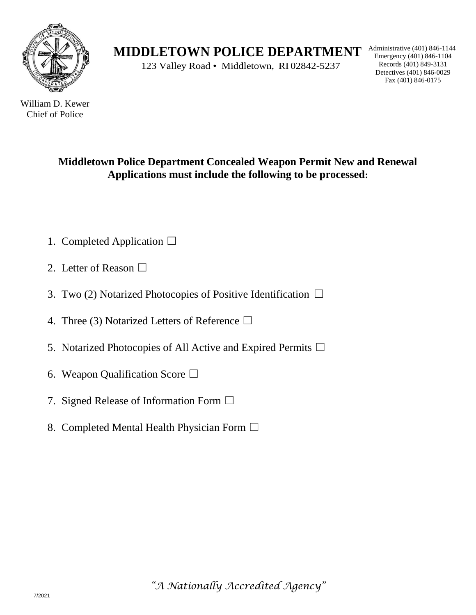

**MIDDLETOWN POLICE DEPARTMENT** Administrative (401) 846-1104

123 Valley Road • Middletown, RI 02842-5237

Emergency (401) 846-1104 Records (401) 849-3131 Detectives (401) 846-0029 Fax (401) 846-0175

William D. Kewer Chief of Police

### **Middletown Police Department Concealed Weapon Permit New and Renewal Applications must include the following to be processed:**

- 1. Completed Application ☐
- 2. Letter of Reason  $\square$
- 3. Two (2) Notarized Photocopies of Positive Identification  $\Box$
- 4. Three (3) Notarized Letters of Reference  $\Box$
- 5. Notarized Photocopies of All Active and Expired Permits  $\square$
- 6. Weapon Qualification Score  $\Box$
- 7. Signed Release of Information Form  $\Box$
- 8. Completed Mental Health Physician Form  $\Box$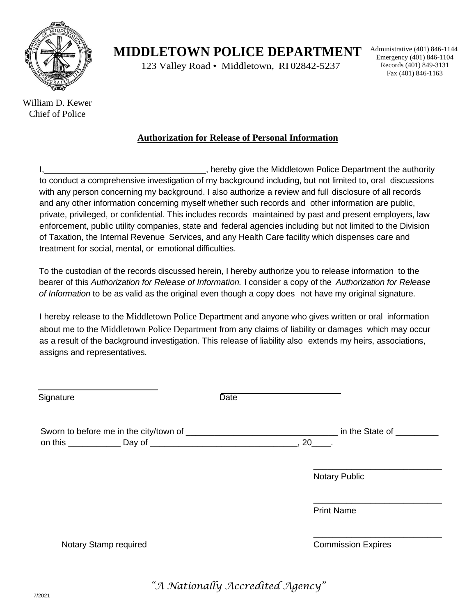

William D. Kewer Chief of Police

### **MIDDLETOWN POLICE DEPARTMENT** Administrative (401) 846-1104

123 Valley Road • Middletown, RI 02842-5237

Emergency (401) 846-1104 Records (401) 849-3131 Fax (401) 846-1163

**Authorization for Release of Personal Information**

I, 1. All the matrix of the Middletown Police Department the authority to conduct a comprehensive investigation of my background including, but not limited to, oral discussions with any person concerning my background. I also authorize a review and full disclosure of all records and any other information concerning myself whether such records and other information are public, private, privileged, or confidential. This includes records maintained by past and present employers, law enforcement, public utility companies, state and federal agencies including but not limited to the Division of Taxation, the Internal Revenue Services, and any Health Care facility which dispenses care and treatment for social, mental, or emotional difficulties.

To the custodian of the records discussed herein, I hereby authorize you to release information to the bearer of this *Authorization for Release of Information.* I consider a copy of the *Authorization for Release of Information* to be as valid as the original even though a copy does not have my original signature.

I hereby release to the Middletown Police Department and anyone who gives written or oral information about me to the Middletown Police Department from any claims of liability or damages which may occur as a result of the background investigation. This release of liability also extends my heirs, associations, assigns and representatives.

| Signature             | <b>Date</b>                                         |
|-----------------------|-----------------------------------------------------|
|                       | in the State of Theory and the State of<br>$, 20$ . |
|                       | <b>Notary Public</b>                                |
|                       | <b>Print Name</b>                                   |
| Notary Stamp required | <b>Commission Expires</b>                           |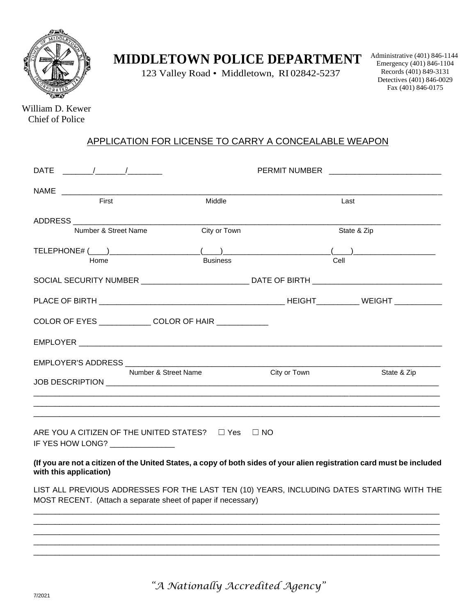

# **MIDDLETOWN POLICE DEPARTMENT**

123 Valley Road • Middletown, RI 02842-5237

Administrative (401) 846-1144 Emergency (401) 846-1104 Records (401) 849-3131 Detectives (401) 846-0029 Fax (401) 846-0175

William D. Kewer Chief of Police

#### APPLICATION FOR LICENSE TO CARRY A CONCEALABLE WEAPON

|                                                                                                                                        |                      | PERMIT NUMBER THE RESERVE THE RESERVE THE RESERVE THAT A RESERVE THE RESERVE THAT A RESERVE THAT A RESERVE THAT A RESERVE THAT A RESERVE THAT A RESERVE THAT A RESERVE THAT A RESERVE THAT A RESERVE THAT A RESERVE THAT A RES |              |                                                                                                                                                                                                                                                                                                                                 |
|----------------------------------------------------------------------------------------------------------------------------------------|----------------------|--------------------------------------------------------------------------------------------------------------------------------------------------------------------------------------------------------------------------------|--------------|---------------------------------------------------------------------------------------------------------------------------------------------------------------------------------------------------------------------------------------------------------------------------------------------------------------------------------|
| First                                                                                                                                  |                      | Middle                                                                                                                                                                                                                         |              | Last                                                                                                                                                                                                                                                                                                                            |
| ADDRESS AND AND ANNUAL AND ANNUAL AND ANNUAL AND ANNUAL ANNUAL ANNUAL ANNUAL ANNUAL ANNUAL ANNUAL ANNUAL ANNUA<br>Number & Street Name |                      | City or Town                                                                                                                                                                                                                   |              | State & Zip                                                                                                                                                                                                                                                                                                                     |
| Home                                                                                                                                   |                      | <b>Business</b>                                                                                                                                                                                                                | Cell         | $\begin{pmatrix} 1 & 0 & 0 \\ 0 & 0 & 0 \\ 0 & 0 & 0 \\ 0 & 0 & 0 \\ 0 & 0 & 0 \\ 0 & 0 & 0 \\ 0 & 0 & 0 \\ 0 & 0 & 0 \\ 0 & 0 & 0 \\ 0 & 0 & 0 & 0 \\ 0 & 0 & 0 & 0 \\ 0 & 0 & 0 & 0 \\ 0 & 0 & 0 & 0 & 0 \\ 0 & 0 & 0 & 0 & 0 \\ 0 & 0 & 0 & 0 & 0 \\ 0 & 0 & 0 & 0 & 0 & 0 \\ 0 & 0 & 0 & 0 & 0 & 0 \\ 0 & 0 & 0 & 0 & 0 & $ |
|                                                                                                                                        |                      |                                                                                                                                                                                                                                |              | SOCIAL SECURITY NUMBER ____________________________ DATE OF BIRTH _________________________________                                                                                                                                                                                                                             |
|                                                                                                                                        |                      |                                                                                                                                                                                                                                |              |                                                                                                                                                                                                                                                                                                                                 |
| COLOR OF EYES _______________COLOR OF HAIR ____________                                                                                |                      |                                                                                                                                                                                                                                |              |                                                                                                                                                                                                                                                                                                                                 |
|                                                                                                                                        |                      |                                                                                                                                                                                                                                |              |                                                                                                                                                                                                                                                                                                                                 |
|                                                                                                                                        | Number & Street Name |                                                                                                                                                                                                                                | City or Town | State & Zip                                                                                                                                                                                                                                                                                                                     |
| ARE YOU A CITIZEN OF THE UNITED STATES? $\Box$ Yes $\Box$ NO<br>IF YES HOW LONG? _______________                                       |                      |                                                                                                                                                                                                                                |              |                                                                                                                                                                                                                                                                                                                                 |
| with this application)                                                                                                                 |                      |                                                                                                                                                                                                                                |              | (If you are not a citizen of the United States, a copy of both sides of your alien registration card must be included                                                                                                                                                                                                           |
| MOST RECENT. (Attach a separate sheet of paper if necessary)                                                                           |                      |                                                                                                                                                                                                                                |              | LIST ALL PREVIOUS ADDRESSES FOR THE LAST TEN (10) YEARS, INCLUDING DATES STARTING WITH THE                                                                                                                                                                                                                                      |
|                                                                                                                                        |                      |                                                                                                                                                                                                                                |              |                                                                                                                                                                                                                                                                                                                                 |
|                                                                                                                                        |                      |                                                                                                                                                                                                                                |              |                                                                                                                                                                                                                                                                                                                                 |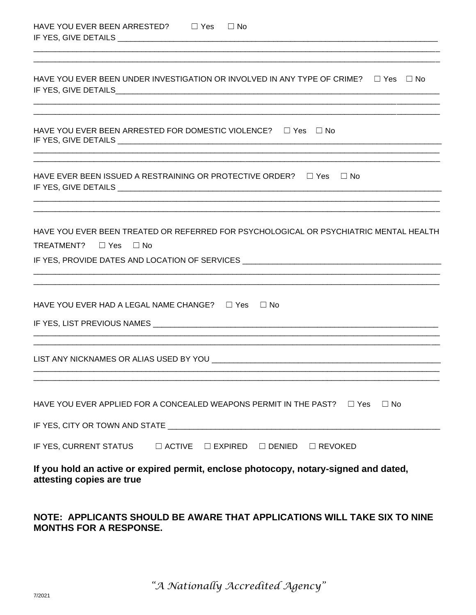| HAVE YOU EVER BEEN ARRESTED? | $\Box$ Yes | $\Box$ No |
|------------------------------|------------|-----------|
| IF YES, GIVE DETAILS         |            |           |

| HAVE YOU EVER BEEN UNDER INVESTIGATION OR INVOLVED IN ANY TYPE OF CRIME? $\square$ Yes $\square$ No                                                                                                                           |
|-------------------------------------------------------------------------------------------------------------------------------------------------------------------------------------------------------------------------------|
| HAVE YOU EVER BEEN ARRESTED FOR DOMESTIC VIOLENCE? $\Box$ Yes $\Box$ No                                                                                                                                                       |
| HAVE EVER BEEN ISSUED A RESTRAINING OR PROTECTIVE ORDER? $\square$ Yes $\square$ No                                                                                                                                           |
| HAVE YOU EVER BEEN TREATED OR REFERRED FOR PSYCHOLOGICAL OR PSYCHIATRIC MENTAL HEALTH<br>TREATMENT? $\Box$ Yes<br>IF YES, PROVIDE DATES AND LOCATION OF SERVICES _________________________________                            |
| HAVE YOU EVER HAD A LEGAL NAME CHANGE? $\Box$ Yes $\Box$ No                                                                                                                                                                   |
|                                                                                                                                                                                                                               |
| HAVE YOU EVER APPLIED FOR A CONCEALED WEAPONS PERMIT IN THE PAST?<br>$\Box$ Yes<br>$\Box$ No                                                                                                                                  |
| IF YES, CURRENT STATUS $\qquad \Box$ ACTIVE $\qquad \Box$ EXPIRED $\qquad \Box$ DENIED<br>$\Box$ REVOKED<br>If you hold an active or expired permit, enclose photocopy, notary-signed and dated,<br>attesting copies are true |
|                                                                                                                                                                                                                               |

#### NOTE: APPLICANTS SHOULD BE AWARE THAT APPLICATIONS WILL TAKE SIX TO NINE **MONTHS FOR A RESPONSE.**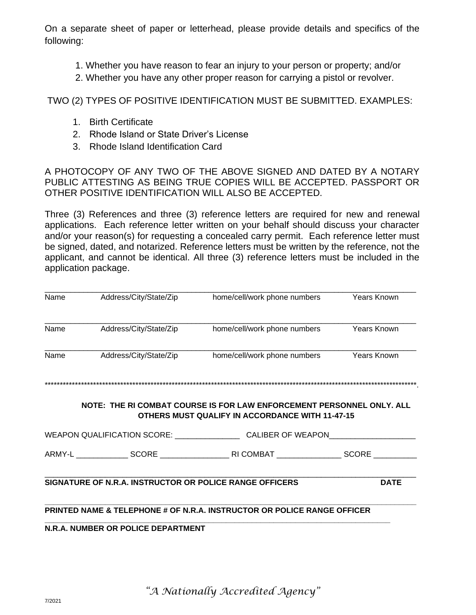On a separate sheet of paper or letterhead, please provide details and specifics of the following:

- 1. Whether you have reason to fear an injury to your person or property; and/or
- 2. Whether you have any other proper reason for carrying a pistol or revolver.

TWO (2) TYPES OF POSITIVE IDENTIFICATION MUST BE SUBMITTED. EXAMPLES:

- 1. Birth Certificate
- 2. Rhode Island or State Driver's License
- 3. Rhode Island Identification Card

A PHOTOCOPY OF ANY TWO OF THE ABOVE SIGNED AND DATED BY A NOTARY PUBLIC ATTESTING AS BEING TRUE COPIES WILL BE ACCEPTED. PASSPORT OR OTHER POSITIVE IDENTIFICATION WILL ALSO BE ACCEPTED.

Three (3) References and three (3) reference letters are required for new and renewal applications. Each reference letter written on your behalf should discuss your character and/or your reason(s) for requesting a concealed carry permit. Each reference letter must be signed, dated, and notarized. Reference letters must be written by the reference, not the applicant, and cannot be identical. All three (3) reference letters must be included in the application package.

| Name | Address/City/State/Zip                                  | home/cell/work phone numbers                                                                                                    | <b>Years Known</b> |
|------|---------------------------------------------------------|---------------------------------------------------------------------------------------------------------------------------------|--------------------|
|      |                                                         |                                                                                                                                 |                    |
| Name | Address/City/State/Zip                                  | home/cell/work phone numbers                                                                                                    | <b>Years Known</b> |
| Name | Address/City/State/Zip                                  | home/cell/work phone numbers                                                                                                    | <b>Years Known</b> |
|      |                                                         |                                                                                                                                 |                    |
|      |                                                         | NOTE: THE RI COMBAT COURSE IS FOR LAW ENFORCEMENT PERSONNEL ONLY. ALL<br><b>OTHERS MUST QUALIFY IN ACCORDANCE WITH 11-47-15</b> |                    |
|      |                                                         |                                                                                                                                 |                    |
|      |                                                         |                                                                                                                                 |                    |
|      | SIGNATURE OF N.R.A. INSTRUCTOR OR POLICE RANGE OFFICERS |                                                                                                                                 | <b>DATE</b>        |
|      |                                                         | PRINTED NAME & TELEPHONE # OF N.R.A. INSTRUCTOR OR POLICE RANGE OFFICER                                                         |                    |
|      | <b>N.R.A. NUMBER OR POLICE DEPARTMENT</b>               |                                                                                                                                 |                    |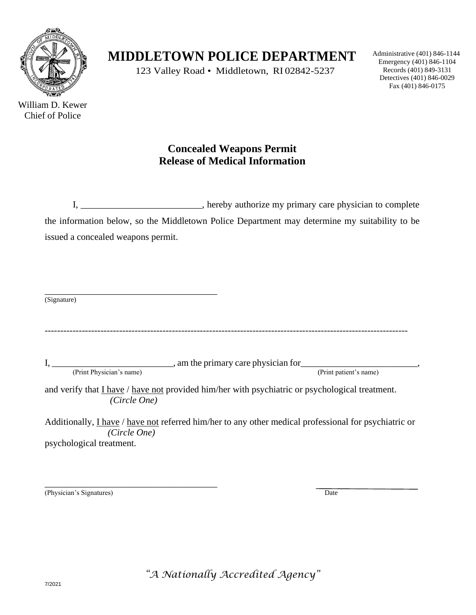

William D. Kewer Chief of Police

## **MIDDLETOWN POLICE DEPARTMENT**

123 Valley Road • Middletown, RI 02842-5237

Administrative (401) 846-1144 Emergency (401) 846-1104 Records (401) 849-3131 Detectives (401) 846-0029 Fax (401) 846-0175

### **Concealed Weapons Permit Release of Medical Information**

I, \_\_\_\_\_\_\_\_\_\_\_\_\_\_\_\_\_\_\_\_\_\_\_\_\_\_, hereby authorize my primary care physician to complete the information below, so the Middletown Police Department may determine my suitability to be issued a concealed weapons permit.

\_\_\_\_\_\_\_\_\_\_\_\_\_\_\_\_\_\_\_\_\_\_\_\_\_\_\_\_\_\_\_\_\_\_\_\_\_ (Signature)

---------------------------------------------------------------------------------------------------------------------

 $I, \_\_\_\_\_\_\_\_\_$ , am the primary care physician for  $\_\_\_\_\_\_\_\_\_$ (Print Physician's name) (Print patient's name)

and verify that I have / have not provided him/her with psychiatric or psychological treatment. *(Circle One)* 

Additionally, I have / have not referred him/her to any other medical professional for psychiatric or *(Circle One)* psychological treatment.

\_\_\_\_\_\_\_\_\_\_\_\_\_\_\_\_\_\_\_\_\_\_\_\_\_\_\_\_\_\_\_\_\_\_\_\_\_ (Physician's Signatures) Date